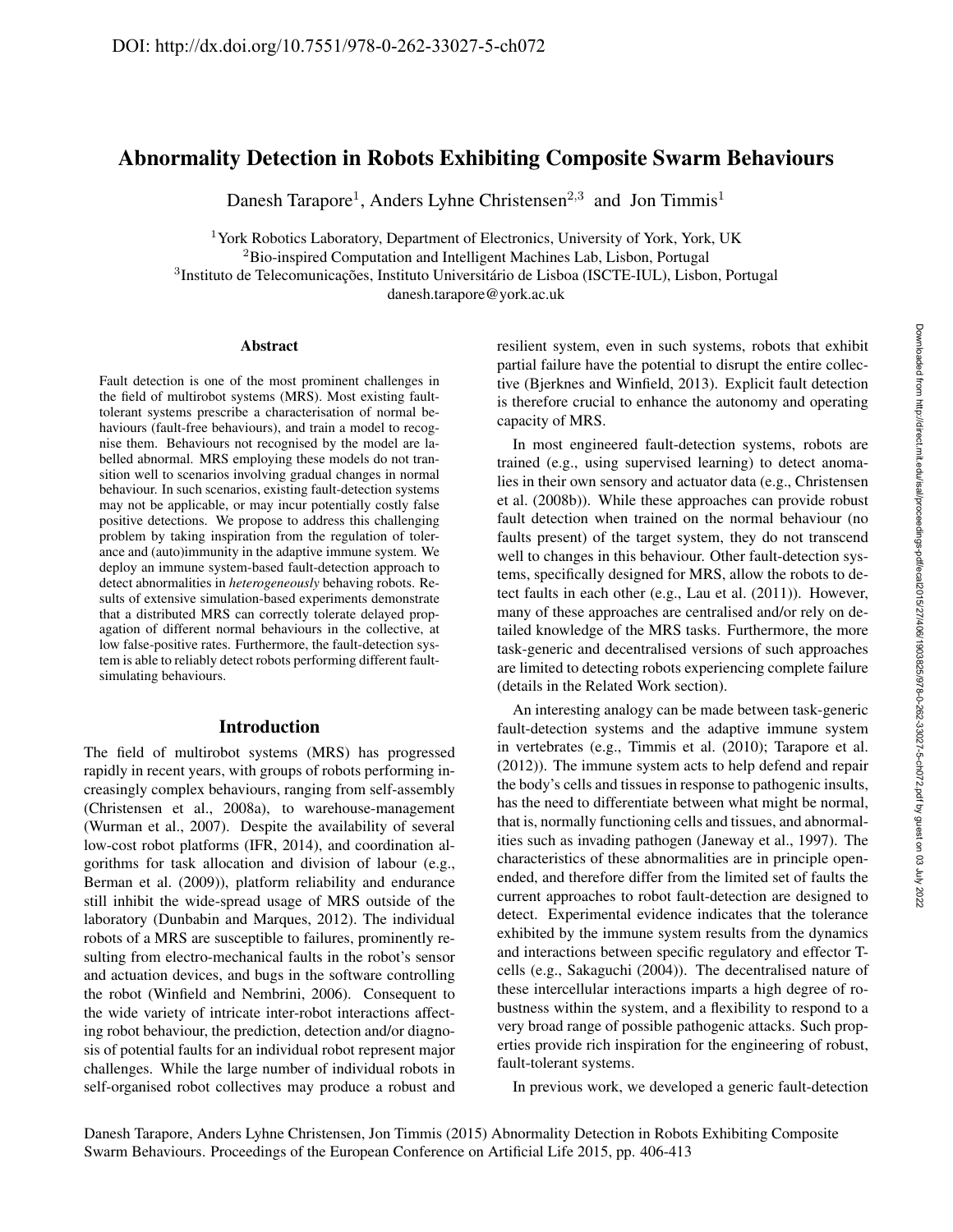# Abnormality Detection in Robots Exhibiting Composite Swarm Behaviours

Danesh Tarapore<sup>1</sup>, Anders Lyhne Christensen<sup>2,3</sup> and Jon Timmis<sup>1</sup>

<sup>1</sup> York Robotics Laboratory, Department of Electronics, University of York, York, UK <sup>2</sup>Bio-inspired Computation and Intelligent Machines Lab, Lisbon, Portugal

<sup>3</sup>Instituto de Telecomunicações, Instituto Universitário de Lisboa (ISCTE-IUL), Lisbon, Portugal

danesh.tarapore@york.ac.uk

#### Abstract

Fault detection is one of the most prominent challenges in the field of multirobot systems (MRS). Most existing faulttolerant systems prescribe a characterisation of normal behaviours (fault-free behaviours), and train a model to recognise them. Behaviours not recognised by the model are labelled abnormal. MRS employing these models do not transition well to scenarios involving gradual changes in normal behaviour. In such scenarios, existing fault-detection systems may not be applicable, or may incur potentially costly false positive detections. We propose to address this challenging problem by taking inspiration from the regulation of tolerance and (auto)immunity in the adaptive immune system. We deploy an immune system-based fault-detection approach to detect abnormalities in *heterogeneously* behaving robots. Results of extensive simulation-based experiments demonstrate that a distributed MRS can correctly tolerate delayed propagation of different normal behaviours in the collective, at low false-positive rates. Furthermore, the fault-detection system is able to reliably detect robots performing different faultsimulating behaviours.

## Introduction

The field of multirobot systems (MRS) has progressed rapidly in recent years, with groups of robots performing increasingly complex behaviours, ranging from self-assembly (Christensen et al., 2008a), to warehouse-management (Wurman et al., 2007). Despite the availability of several low-cost robot platforms (IFR, 2014), and coordination algorithms for task allocation and division of labour (e.g., Berman et al. (2009)), platform reliability and endurance still inhibit the wide-spread usage of MRS outside of the laboratory (Dunbabin and Marques, 2012). The individual robots of a MRS are susceptible to failures, prominently resulting from electro-mechanical faults in the robot's sensor and actuation devices, and bugs in the software controlling the robot (Winfield and Nembrini, 2006). Consequent to the wide variety of intricate inter-robot interactions affecting robot behaviour, the prediction, detection and/or diagnosis of potential faults for an individual robot represent major challenges. While the large number of individual robots in self-organised robot collectives may produce a robust and resilient system, even in such systems, robots that exhibit partial failure have the potential to disrupt the entire collective (Bjerknes and Winfield, 2013). Explicit fault detection is therefore crucial to enhance the autonomy and operating capacity of MRS.

In most engineered fault-detection systems, robots are trained (e.g., using supervised learning) to detect anomalies in their own sensory and actuator data (e.g., Christensen et al. (2008b)). While these approaches can provide robust fault detection when trained on the normal behaviour (no faults present) of the target system, they do not transcend well to changes in this behaviour. Other fault-detection systems, specifically designed for MRS, allow the robots to detect faults in each other (e.g., Lau et al. (2011)). However, many of these approaches are centralised and/or rely on detailed knowledge of the MRS tasks. Furthermore, the more task-generic and decentralised versions of such approaches are limited to detecting robots experiencing complete failure (details in the Related Work section).

An interesting analogy can be made between task-generic fault-detection systems and the adaptive immune system in vertebrates (e.g., Timmis et al. (2010); Tarapore et al. (2012)). The immune system acts to help defend and repair the body's cells and tissues in response to pathogenic insults, has the need to differentiate between what might be normal, that is, normally functioning cells and tissues, and abnormalities such as invading pathogen (Janeway et al., 1997). The characteristics of these abnormalities are in principle openended, and therefore differ from the limited set of faults the current approaches to robot fault-detection are designed to detect. Experimental evidence indicates that the tolerance exhibited by the immune system results from the dynamics and interactions between specific regulatory and effector Tcells (e.g., Sakaguchi (2004)). The decentralised nature of these intercellular interactions imparts a high degree of robustness within the system, and a flexibility to respond to a very broad range of possible pathogenic attacks. Such properties provide rich inspiration for the engineering of robust, fault-tolerant systems.

In previous work, we developed a generic fault-detection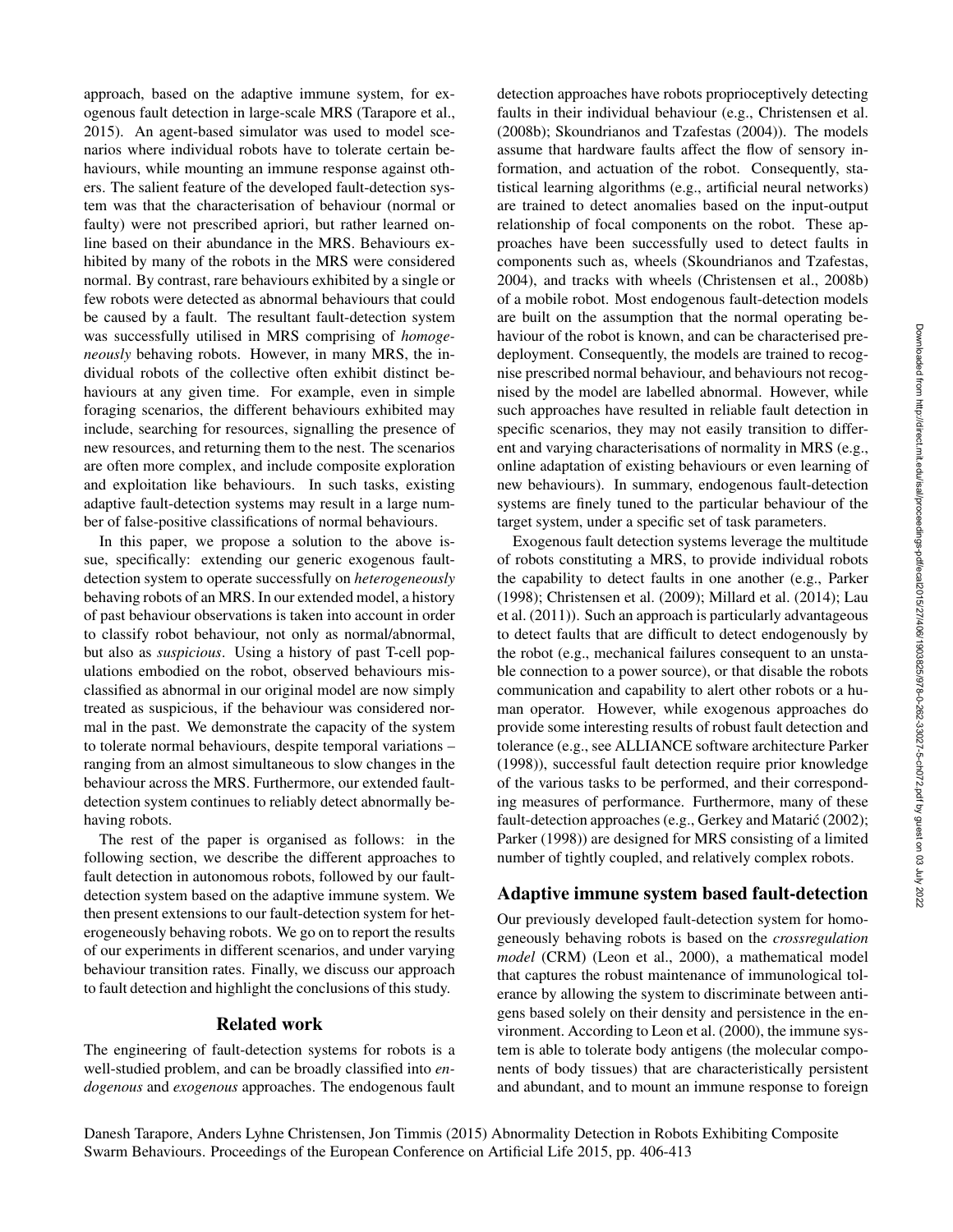approach, based on the adaptive immune system, for exogenous fault detection in large-scale MRS (Tarapore et al., 2015). An agent-based simulator was used to model scenarios where individual robots have to tolerate certain behaviours, while mounting an immune response against others. The salient feature of the developed fault-detection system was that the characterisation of behaviour (normal or faulty) were not prescribed apriori, but rather learned online based on their abundance in the MRS. Behaviours exhibited by many of the robots in the MRS were considered normal. By contrast, rare behaviours exhibited by a single or few robots were detected as abnormal behaviours that could be caused by a fault. The resultant fault-detection system was successfully utilised in MRS comprising of *homogeneously* behaving robots. However, in many MRS, the individual robots of the collective often exhibit distinct behaviours at any given time. For example, even in simple foraging scenarios, the different behaviours exhibited may include, searching for resources, signalling the presence of new resources, and returning them to the nest. The scenarios are often more complex, and include composite exploration and exploitation like behaviours. In such tasks, existing adaptive fault-detection systems may result in a large number of false-positive classifications of normal behaviours.

In this paper, we propose a solution to the above issue, specifically: extending our generic exogenous faultdetection system to operate successfully on *heterogeneously* behaving robots of an MRS. In our extended model, a history of past behaviour observations is taken into account in order to classify robot behaviour, not only as normal/abnormal, but also as *suspicious*. Using a history of past T-cell populations embodied on the robot, observed behaviours misclassified as abnormal in our original model are now simply treated as suspicious, if the behaviour was considered normal in the past. We demonstrate the capacity of the system to tolerate normal behaviours, despite temporal variations – ranging from an almost simultaneous to slow changes in the behaviour across the MRS. Furthermore, our extended faultdetection system continues to reliably detect abnormally behaving robots.

The rest of the paper is organised as follows: in the following section, we describe the different approaches to fault detection in autonomous robots, followed by our faultdetection system based on the adaptive immune system. We then present extensions to our fault-detection system for heterogeneously behaving robots. We go on to report the results of our experiments in different scenarios, and under varying behaviour transition rates. Finally, we discuss our approach to fault detection and highlight the conclusions of this study.

### Related work

The engineering of fault-detection systems for robots is a well-studied problem, and can be broadly classified into *endogenous* and *exogenous* approaches. The endogenous fault detection approaches have robots proprioceptively detecting faults in their individual behaviour (e.g., Christensen et al. (2008b); Skoundrianos and Tzafestas (2004)). The models assume that hardware faults affect the flow of sensory information, and actuation of the robot. Consequently, statistical learning algorithms (e.g., artificial neural networks) are trained to detect anomalies based on the input-output relationship of focal components on the robot. These approaches have been successfully used to detect faults in components such as, wheels (Skoundrianos and Tzafestas, 2004), and tracks with wheels (Christensen et al., 2008b) of a mobile robot. Most endogenous fault-detection models are built on the assumption that the normal operating behaviour of the robot is known, and can be characterised predeployment. Consequently, the models are trained to recognise prescribed normal behaviour, and behaviours not recognised by the model are labelled abnormal. However, while such approaches have resulted in reliable fault detection in specific scenarios, they may not easily transition to different and varying characterisations of normality in MRS (e.g., online adaptation of existing behaviours or even learning of new behaviours). In summary, endogenous fault-detection systems are finely tuned to the particular behaviour of the target system, under a specific set of task parameters.

Exogenous fault detection systems leverage the multitude of robots constituting a MRS, to provide individual robots the capability to detect faults in one another (e.g., Parker (1998); Christensen et al. (2009); Millard et al. (2014); Lau et al. (2011)). Such an approach is particularly advantageous to detect faults that are difficult to detect endogenously by the robot (e.g., mechanical failures consequent to an unstable connection to a power source), or that disable the robots communication and capability to alert other robots or a human operator. However, while exogenous approaches do provide some interesting results of robust fault detection and tolerance (e.g., see ALLIANCE software architecture Parker (1998)), successful fault detection require prior knowledge of the various tasks to be performed, and their corresponding measures of performance. Furthermore, many of these fault-detection approaches (e.g., Gerkey and Matarić (2002); Parker (1998)) are designed for MRS consisting of a limited number of tightly coupled, and relatively complex robots.

## Adaptive immune system based fault-detection

Our previously developed fault-detection system for homogeneously behaving robots is based on the *crossregulation model* (CRM) (Leon et al., 2000), a mathematical model that captures the robust maintenance of immunological tolerance by allowing the system to discriminate between antigens based solely on their density and persistence in the environment. According to Leon et al. (2000), the immune system is able to tolerate body antigens (the molecular components of body tissues) that are characteristically persistent and abundant, and to mount an immune response to foreign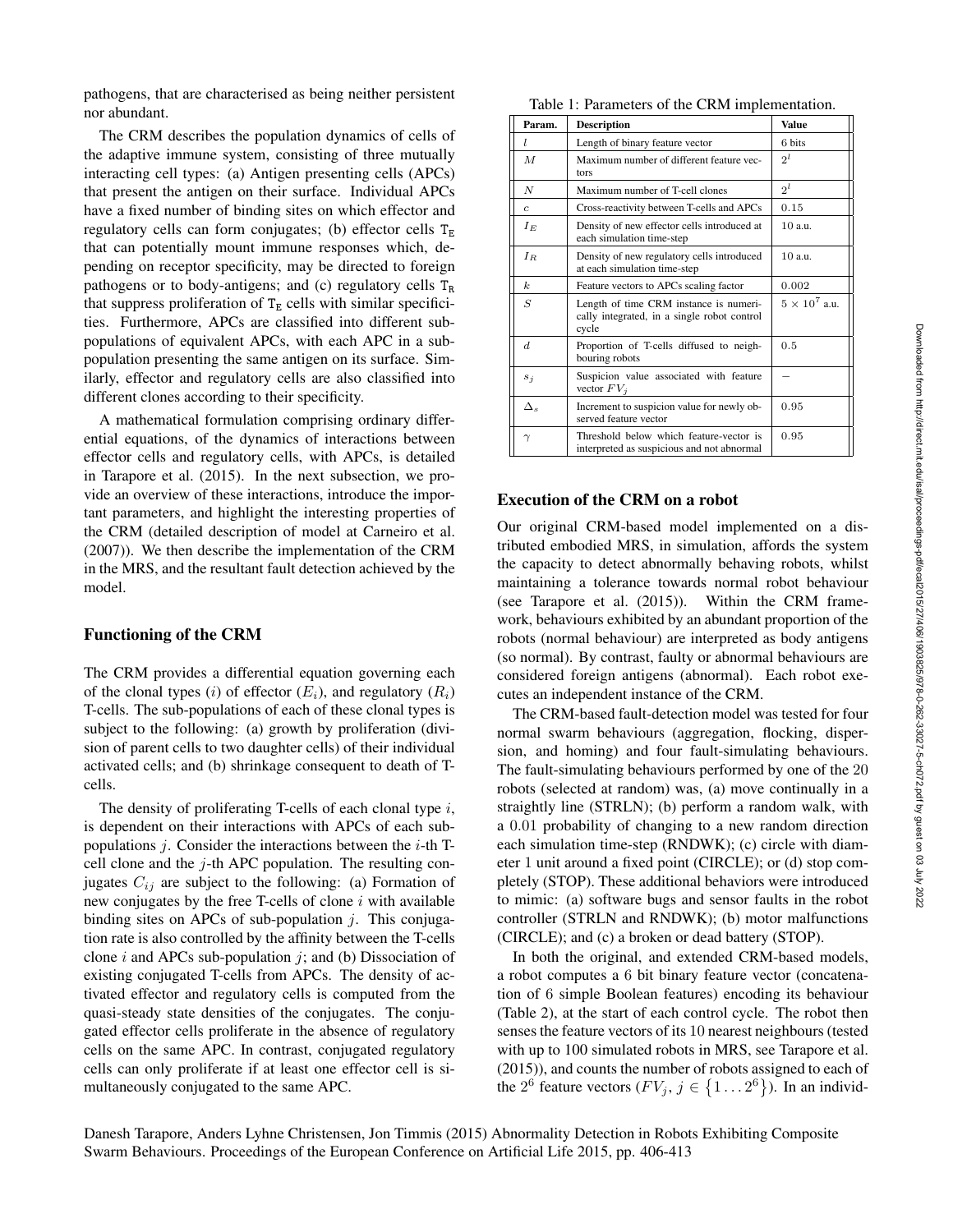pathogens, that are characterised as being neither persistent nor abundant.

The CRM describes the population dynamics of cells of the adaptive immune system, consisting of three mutually interacting cell types: (a) Antigen presenting cells (APCs) that present the antigen on their surface. Individual APCs have a fixed number of binding sites on which effector and regulatory cells can form conjugates; (b) effector cells  $T_E$ that can potentially mount immune responses which, depending on receptor specificity, may be directed to foreign pathogens or to body-antigens; and (c) regulatory cells  $T_R$ that suppress proliferation of  $T_E$  cells with similar specificities. Furthermore, APCs are classified into different subpopulations of equivalent APCs, with each APC in a subpopulation presenting the same antigen on its surface. Similarly, effector and regulatory cells are also classified into different clones according to their specificity.

A mathematical formulation comprising ordinary differential equations, of the dynamics of interactions between effector cells and regulatory cells, with APCs, is detailed in Tarapore et al. (2015). In the next subsection, we provide an overview of these interactions, introduce the important parameters, and highlight the interesting properties of the CRM (detailed description of model at Carneiro et al. (2007)). We then describe the implementation of the CRM in the MRS, and the resultant fault detection achieved by the model.

### Functioning of the CRM

The CRM provides a differential equation governing each of the clonal types (i) of effector  $(E_i)$ , and regulatory  $(R_i)$ T-cells. The sub-populations of each of these clonal types is subject to the following: (a) growth by proliferation (division of parent cells to two daughter cells) of their individual activated cells; and (b) shrinkage consequent to death of Tcells.

The density of proliferating T-cells of each clonal type i, is dependent on their interactions with APCs of each subpopulations  $j$ . Consider the interactions between the  $i$ -th Tcell clone and the j-th APC population. The resulting conjugates  $C_{ij}$  are subject to the following: (a) Formation of new conjugates by the free T-cells of clone  $i$  with available binding sites on APCs of sub-population  $j$ . This conjugation rate is also controlled by the affinity between the T-cells clone  $i$  and APCs sub-population  $j$ ; and (b) Dissociation of existing conjugated T-cells from APCs. The density of activated effector and regulatory cells is computed from the quasi-steady state densities of the conjugates. The conjugated effector cells proliferate in the absence of regulatory cells on the same APC. In contrast, conjugated regulatory cells can only proliferate if at least one effector cell is simultaneously conjugated to the same APC.

Table 1: Parameters of the CRM implementation.

| Param.           | <b>Description</b>                                                                             | <b>Value</b>         |
|------------------|------------------------------------------------------------------------------------------------|----------------------|
| L                | Length of binary feature vector                                                                | 6 bits               |
| $\overline{M}$   | Maximum number of different feature vec-<br>tors                                               | $2^l$                |
| N                | Maximum number of T-cell clones                                                                | $2^l$                |
| $\overline{c}$   | Cross-reactivity between T-cells and APCs                                                      | 0.15                 |
| $I_E$            | Density of new effector cells introduced at<br>each simulation time-step                       | $10$ a.u.            |
| $I_R$            | Density of new regulatory cells introduced<br>at each simulation time-step                     | $10$ a.u.            |
| $\boldsymbol{k}$ | Feature vectors to APCs scaling factor                                                         | 0.002                |
| $\boldsymbol{S}$ | Length of time CRM instance is numeri-<br>cally integrated, in a single robot control<br>cycle | $5 \times 10^7$ a.u. |
| d                | Proportion of T-cells diffused to neigh-<br>bouring robots                                     | 0.5                  |
| $s_i$            | Suspicion value associated with feature<br>vector $FV_i$                                       |                      |
| $\Delta_s$       | Increment to suspicion value for newly ob-<br>served feature vector                            | 0.95                 |
| $\gamma$         | Threshold below which feature-vector is<br>interpreted as suspicious and not abnormal          | 0.95                 |

# Execution of the CRM on a robot

Our original CRM-based model implemented on a distributed embodied MRS, in simulation, affords the system the capacity to detect abnormally behaving robots, whilst maintaining a tolerance towards normal robot behaviour (see Tarapore et al. (2015)). Within the CRM framework, behaviours exhibited by an abundant proportion of the robots (normal behaviour) are interpreted as body antigens (so normal). By contrast, faulty or abnormal behaviours are considered foreign antigens (abnormal). Each robot executes an independent instance of the CRM.

The CRM-based fault-detection model was tested for four normal swarm behaviours (aggregation, flocking, dispersion, and homing) and four fault-simulating behaviours. The fault-simulating behaviours performed by one of the 20 robots (selected at random) was, (a) move continually in a straightly line (STRLN); (b) perform a random walk, with a 0.01 probability of changing to a new random direction each simulation time-step (RNDWK); (c) circle with diameter 1 unit around a fixed point (CIRCLE); or (d) stop completely (STOP). These additional behaviors were introduced to mimic: (a) software bugs and sensor faults in the robot controller (STRLN and RNDWK); (b) motor malfunctions (CIRCLE); and (c) a broken or dead battery (STOP).

In both the original, and extended CRM-based models, a robot computes a 6 bit binary feature vector (concatenation of 6 simple Boolean features) encoding its behaviour (Table 2), at the start of each control cycle. The robot then senses the feature vectors of its 10 nearest neighbours (tested with up to 100 simulated robots in MRS, see Tarapore et al. (2015)), and counts the number of robots assigned to each of the  $2^6$  feature vectors  $(FV_j, j \in \{1...2^6\})$ . In an individ-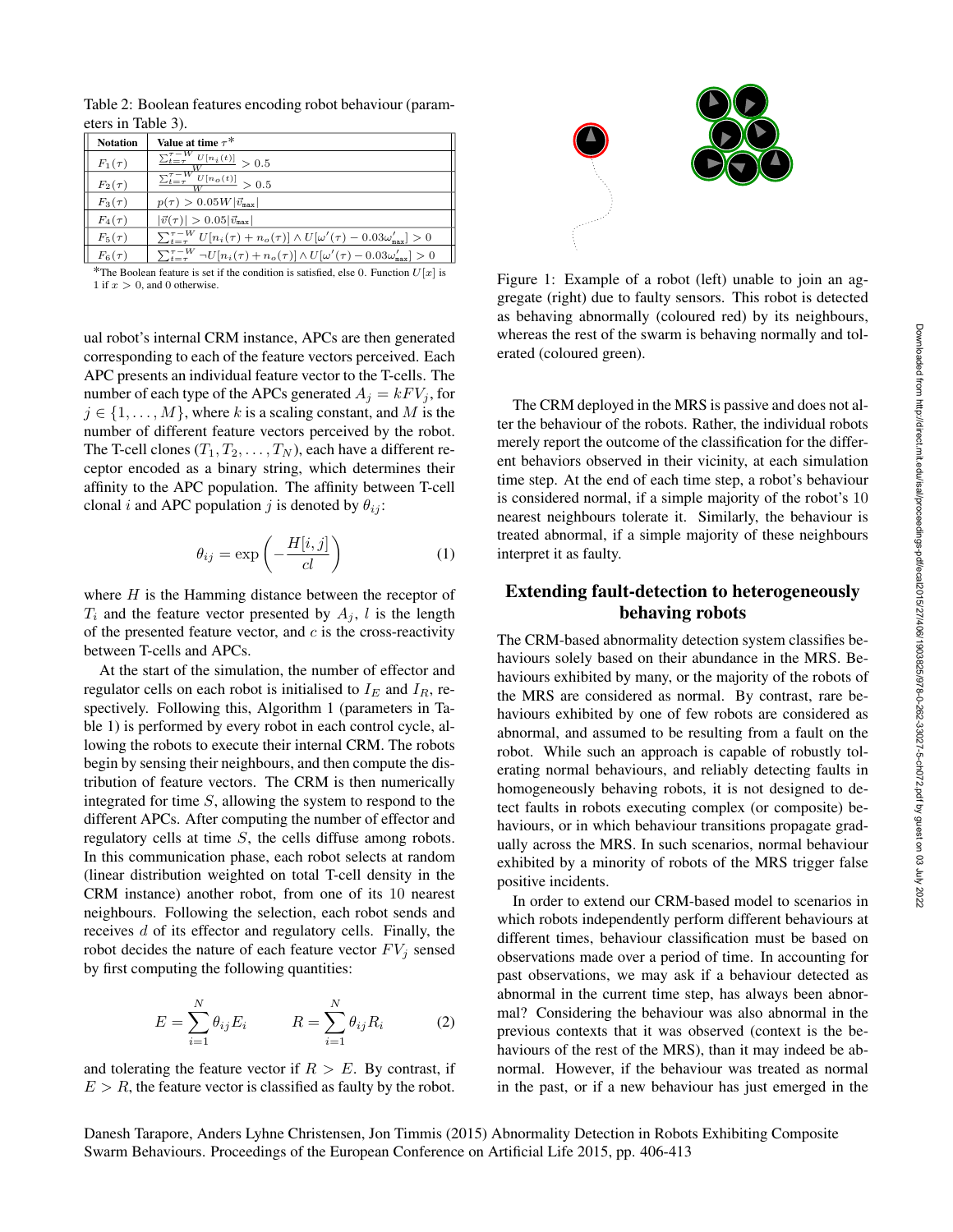Table 2: Boolean features encoding robot behaviour (parameters in Table 3).

| <b>Notation</b> | Value at time $\tau^*$                                                                              |
|-----------------|-----------------------------------------------------------------------------------------------------|
| $F_1(\tau)$     | $\frac{\sum_{t=\tau}^{\tau-W}U[n_i(t)]}{\sum_{t=\tau}^{\tau-W}U[n_i(t)]}>0.5$                       |
| $F_2(\tau)$     | $\frac{\sum_{t=\tau}^{\tau-W}U[n_o(t)]}{\sum_{t=\tau}^{\tau-W}U[n_o(t)]}>0.5$                       |
| $F_3(\tau)$     | $p(\tau) > 0.05W \vec{v}_{\text{max}} $                                                             |
| $F_4(\tau)$     | $ \vec{v}(\tau)  > 0.05  \vec{v}_{\text{max}} $                                                     |
| $F_5(\tau)$     | $\sum_{t=\tau}^{\tau-W} U[n_i(\tau)+n_o(\tau)] \wedge U[\omega'(\tau)-0.03\omega'_{\max}] > 0$      |
| $F_6(\tau)$     | $\sum_{t=\tau}^{\tau-W} \neg U[n_i(\tau)+n_o(\tau)] \wedge U[\omega'(\tau)-0.03\omega'_{\max}] > 0$ |

\*The Boolean feature is set if the condition is satisfied, else 0. Function  $U[x]$  is 1 if  $x > 0$ , and 0 otherwise.

ual robot's internal CRM instance, APCs are then generated corresponding to each of the feature vectors perceived. Each APC presents an individual feature vector to the T-cells. The number of each type of the APCs generated  $A_j = kF V_j$ , for  $j \in \{1, \ldots, M\}$ , where k is a scaling constant, and M is the number of different feature vectors perceived by the robot. The T-cell clones  $(T_1, T_2, \ldots, T_N)$ , each have a different receptor encoded as a binary string, which determines their affinity to the APC population. The affinity between T-cell clonal *i* and APC population *j* is denoted by  $\theta_{ij}$ :

$$
\theta_{ij} = \exp\left(-\frac{H[i,j]}{cl}\right) \tag{1}
$$

where  $H$  is the Hamming distance between the receptor of  $T_i$  and the feature vector presented by  $A_j$ , l is the length of the presented feature vector, and  $c$  is the cross-reactivity between T-cells and APCs.

At the start of the simulation, the number of effector and regulator cells on each robot is initialised to  $I_E$  and  $I_R$ , respectively. Following this, Algorithm 1 (parameters in Table 1) is performed by every robot in each control cycle, allowing the robots to execute their internal CRM. The robots begin by sensing their neighbours, and then compute the distribution of feature vectors. The CRM is then numerically integrated for time S, allowing the system to respond to the different APCs. After computing the number of effector and regulatory cells at time S, the cells diffuse among robots. In this communication phase, each robot selects at random (linear distribution weighted on total T-cell density in the CRM instance) another robot, from one of its 10 nearest neighbours. Following the selection, each robot sends and receives d of its effector and regulatory cells. Finally, the robot decides the nature of each feature vector  $FV_i$  sensed by first computing the following quantities:

$$
E = \sum_{i=1}^{N} \theta_{ij} E_i \qquad R = \sum_{i=1}^{N} \theta_{ij} R_i \qquad (2)
$$

and tolerating the feature vector if  $R > E$ . By contrast, if  $E > R$ , the feature vector is classified as faulty by the robot.



Figure 1: Example of a robot (left) unable to join an aggregate (right) due to faulty sensors. This robot is detected as behaving abnormally (coloured red) by its neighbours, whereas the rest of the swarm is behaving normally and tolerated (coloured green).

The CRM deployed in the MRS is passive and does not alter the behaviour of the robots. Rather, the individual robots merely report the outcome of the classification for the different behaviors observed in their vicinity, at each simulation time step. At the end of each time step, a robot's behaviour is considered normal, if a simple majority of the robot's 10 nearest neighbours tolerate it. Similarly, the behaviour is treated abnormal, if a simple majority of these neighbours interpret it as faulty.

# Extending fault-detection to heterogeneously behaving robots

The CRM-based abnormality detection system classifies behaviours solely based on their abundance in the MRS. Behaviours exhibited by many, or the majority of the robots of the MRS are considered as normal. By contrast, rare behaviours exhibited by one of few robots are considered as abnormal, and assumed to be resulting from a fault on the robot. While such an approach is capable of robustly tolerating normal behaviours, and reliably detecting faults in homogeneously behaving robots, it is not designed to detect faults in robots executing complex (or composite) behaviours, or in which behaviour transitions propagate gradually across the MRS. In such scenarios, normal behaviour exhibited by a minority of robots of the MRS trigger false positive incidents.

In order to extend our CRM-based model to scenarios in which robots independently perform different behaviours at different times, behaviour classification must be based on observations made over a period of time. In accounting for past observations, we may ask if a behaviour detected as abnormal in the current time step, has always been abnormal? Considering the behaviour was also abnormal in the previous contexts that it was observed (context is the behaviours of the rest of the MRS), than it may indeed be abnormal. However, if the behaviour was treated as normal in the past, or if a new behaviour has just emerged in the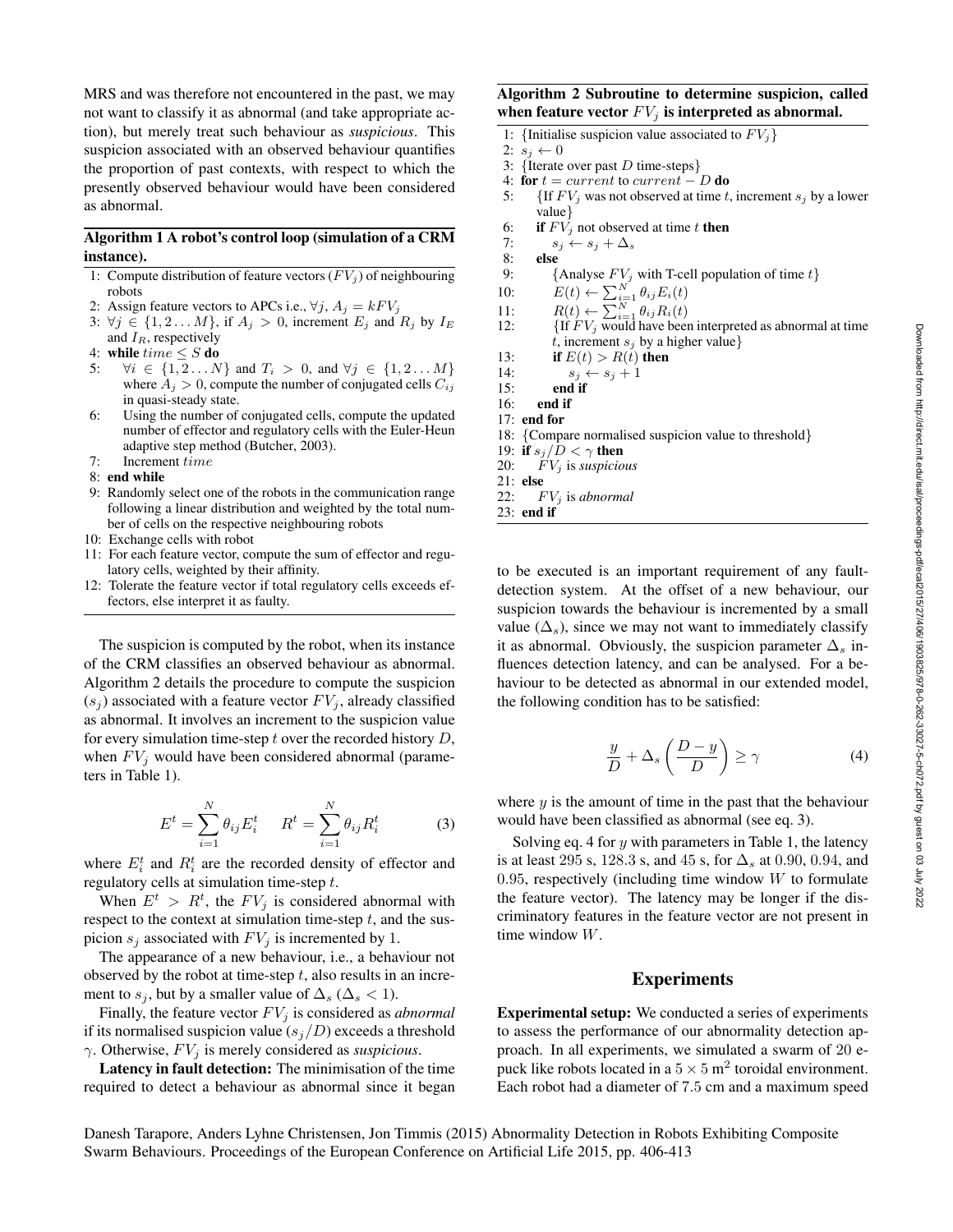MRS and was therefore not encountered in the past, we may not want to classify it as abnormal (and take appropriate action), but merely treat such behaviour as *suspicious*. This suspicion associated with an observed behaviour quantifies the proportion of past contexts, with respect to which the presently observed behaviour would have been considered as abnormal.

### Algorithm 1 A robot's control loop (simulation of a CRM instance).

- 1: Compute distribution of feature vectors  $(FV_i)$  of neighbouring robots
- 2: Assign feature vectors to APCs i.e.,  $\forall j$ ,  $A_j = kF V_j$
- 3:  $\forall j \in \{1, 2...M\}$ , if  $A_j > 0$ , increment  $E_j$  and  $R_j$  by  $I_E$ and  $I_R$ , respectively
- 4: while  $time \leq S$  do<br>5:  $\forall i \in \{1, 2, \ldots N\}$
- $\forall i \in \{1, 2 \dots N\}$  and  $T_i > 0$ , and  $\forall j \in \{1, 2 \dots M\}$ where  $A_j > 0$ , compute the number of conjugated cells  $C_{ij}$ in quasi-steady state.
- 6: Using the number of conjugated cells, compute the updated number of effector and regulatory cells with the Euler-Heun adaptive step method (Butcher, 2003).
- 7: Increment time
- 8: end while
- 9: Randomly select one of the robots in the communication range following a linear distribution and weighted by the total number of cells on the respective neighbouring robots
- 10: Exchange cells with robot
- 11: For each feature vector, compute the sum of effector and regulatory cells, weighted by their affinity.
- 12: Tolerate the feature vector if total regulatory cells exceeds effectors, else interpret it as faulty.

The suspicion is computed by the robot, when its instance of the CRM classifies an observed behaviour as abnormal. Algorithm 2 details the procedure to compute the suspicion  $(s_j)$  associated with a feature vector  $FV_j$ , already classified as abnormal. It involves an increment to the suspicion value for every simulation time-step  $t$  over the recorded history  $D$ , when  $FV_j$  would have been considered abnormal (parameters in Table 1).

$$
E^{t} = \sum_{i=1}^{N} \theta_{ij} E_{i}^{t} \qquad R^{t} = \sum_{i=1}^{N} \theta_{ij} R_{i}^{t} \tag{3}
$$

where  $E_i^t$  and  $R_i^t$  are the recorded density of effector and regulatory cells at simulation time-step t.

When  $E^t > R^t$ , the  $FV_j$  is considered abnormal with respect to the context at simulation time-step  $t$ , and the suspicion  $s_j$  associated with  $FV_j$  is incremented by 1.

The appearance of a new behaviour, i.e., a behaviour not observed by the robot at time-step  $t$ , also results in an increment to  $s_j$ , but by a smaller value of  $\Delta_s$  ( $\Delta_s$  < 1).

Finally, the feature vector  $FV_i$  is considered as *abnormal* if its normalised suspicion value  $(s_i/D)$  exceeds a threshold  $\gamma$ . Otherwise,  $FV_i$  is merely considered as *suspicious*.

Latency in fault detection: The minimisation of the time required to detect a behaviour as abnormal since it began

## Algorithm 2 Subroutine to determine suspicion, called when feature vector  $FV_j$  is interpreted as abnormal.

- 1: {Initialise suspicion value associated to  $FV_i$ }
- 2:  $s_i \leftarrow 0$
- 3: {Iterate over past D time-steps}
- 4: for  $t = current$  to current D do<br>5: {If  $FV_i$  was not observed at time t.
- $\{$ If  $FV_i$  was not observed at time t, increment  $s_i$  by a lower value}
- 6: if  $FV_j$  not observed at time t then<br>7:  $s_i \leftarrow s_i + \Delta_s$
- 7:  $s_j \leftarrow s_j + \Delta_s$ <br>8: **else**
- else
- 9: {Analyse  $FV_j$  with T-cell population of time  $t$ }<br>10:  $E(t) \leftarrow \sum_{i=1}^{N} \theta_{ij} E_i(t)$
- 10:  $E(t) \leftarrow \sum_{i=1}^{N} \theta_{ij} E_i(t)$
- 11:  $R(t) \leftarrow \sum_{i=1}^{N} \theta_{ij} R_i(t)$
- 12:  $\{If FV_j \text{ would have been interpreted as abnormal at time}\}$ t, increment  $s_j$  by a higher value}
- 13: if  $E(t) > R(t)$  then
- 14:  $s_j \leftarrow s_j + 1$ <br>15: **end if**
- end if
- 16: end if 17: end for
- 
- 18: {Compare normalised suspicion value to threshold}
- 19: if  $s_j/D < \gamma$  then
- 20:  $FV_i$  is *suspicious*
- 21: else
- 22: F V<sup>j</sup> is *abnormal*
- 23: end if

to be executed is an important requirement of any faultdetection system. At the offset of a new behaviour, our suspicion towards the behaviour is incremented by a small value  $(\Delta_s)$ , since we may not want to immediately classify it as abnormal. Obviously, the suspicion parameter  $\Delta_s$  influences detection latency, and can be analysed. For a behaviour to be detected as abnormal in our extended model, the following condition has to be satisfied:

$$
\frac{y}{D} + \Delta_s \left( \frac{D - y}{D} \right) \ge \gamma \tag{4}
$$

where  $y$  is the amount of time in the past that the behaviour would have been classified as abnormal (see eq. 3).

Solving eq. 4 for  $y$  with parameters in Table 1, the latency is at least 295 s, 128.3 s, and 45 s, for  $\Delta_s$  at 0.90, 0.94, and 0.95, respectively (including time window  $W$  to formulate the feature vector). The latency may be longer if the discriminatory features in the feature vector are not present in time window W.

### Experiments

Experimental setup: We conducted a series of experiments to assess the performance of our abnormality detection approach. In all experiments, we simulated a swarm of 20 epuck like robots located in a  $5 \times 5$  m<sup>2</sup> toroidal environment. Each robot had a diameter of 7.5 cm and a maximum speed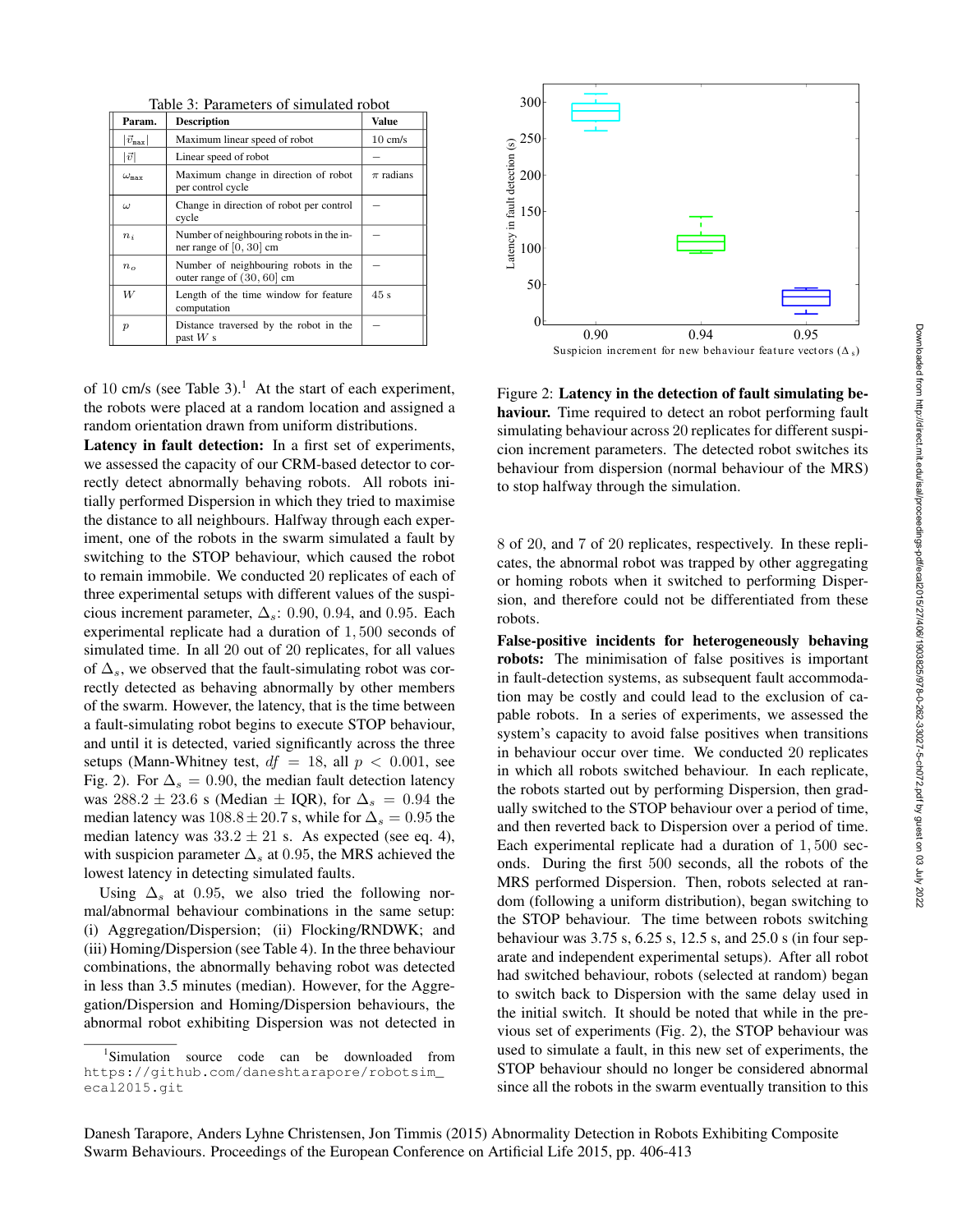Table 3: Parameters of simulated robot

| Param.                  | <b>Description</b>                                                    | <b>Value</b>      |
|-------------------------|-----------------------------------------------------------------------|-------------------|
| $ \vec{v}_{\tt max} $   | Maximum linear speed of robot                                         | $10 \text{ cm/s}$ |
| $ \vec{v} $             | Linear speed of robot                                                 |                   |
| $\omega_{\texttt{max}}$ | Maximum change in direction of robot<br>per control cycle             | $\pi$ radians     |
| $\omega$                | Change in direction of robot per control<br>cycle                     |                   |
| $n_i$                   | Number of neighbouring robots in the in-<br>ner range of $[0, 30]$ cm |                   |
| $n_{o}$                 | Number of neighbouring robots in the<br>outer range of $(30, 60)$ cm  |                   |
| W                       | Length of the time window for feature<br>computation                  | 45 s              |
| $\boldsymbol{p}$        | Distance traversed by the robot in the<br>past $W$ s                  |                   |

of 10 cm/s (see Table 3).<sup>1</sup> At the start of each experiment, the robots were placed at a random location and assigned a random orientation drawn from uniform distributions.

Latency in fault detection: In a first set of experiments, we assessed the capacity of our CRM-based detector to correctly detect abnormally behaving robots. All robots initially performed Dispersion in which they tried to maximise the distance to all neighbours. Halfway through each experiment, one of the robots in the swarm simulated a fault by switching to the STOP behaviour, which caused the robot to remain immobile. We conducted 20 replicates of each of three experimental setups with different values of the suspicious increment parameter,  $\Delta_s$ : 0.90, 0.94, and 0.95. Each experimental replicate had a duration of 1, 500 seconds of simulated time. In all 20 out of 20 replicates, for all values of  $\Delta_s$ , we observed that the fault-simulating robot was correctly detected as behaving abnormally by other members of the swarm. However, the latency, that is the time between a fault-simulating robot begins to execute STOP behaviour, and until it is detected, varied significantly across the three setups (Mann-Whitney test,  $df = 18$ , all  $p < 0.001$ , see Fig. 2). For  $\Delta_s = 0.90$ , the median fault detection latency was 288.2  $\pm$  23.6 s (Median  $\pm$  IQR), for  $\Delta_s = 0.94$  the median latency was  $108.8 \pm 20.7$  s, while for  $\Delta_s = 0.95$  the median latency was  $33.2 \pm 21$  s. As expected (see eq. 4), with suspicion parameter  $\Delta_s$  at 0.95, the MRS achieved the lowest latency in detecting simulated faults.

Using  $\Delta_s$  at 0.95, we also tried the following normal/abnormal behaviour combinations in the same setup: (i) Aggregation/Dispersion; (ii) Flocking/RNDWK; and (iii) Homing/Dispersion (see Table 4). In the three behaviour combinations, the abnormally behaving robot was detected in less than 3.5 minutes (median). However, for the Aggregation/Dispersion and Homing/Dispersion behaviours, the abnormal robot exhibiting Dispersion was not detected in

0.90 0.94 0.95  $\Omega$ 50 100 150 200 250 300 Latency in fault detection (s)

Suspicion increment for new behaviour feature vectors  $(\Delta_s)$ 

Figure 2: Latency in the detection of fault simulating behaviour. Time required to detect an robot performing fault simulating behaviour across 20 replicates for different suspicion increment parameters. The detected robot switches its behaviour from dispersion (normal behaviour of the MRS) to stop halfway through the simulation.

8 of 20, and 7 of 20 replicates, respectively. In these replicates, the abnormal robot was trapped by other aggregating or homing robots when it switched to performing Dispersion, and therefore could not be differentiated from these robots.

False-positive incidents for heterogeneously behaving robots: The minimisation of false positives is important in fault-detection systems, as subsequent fault accommodation may be costly and could lead to the exclusion of capable robots. In a series of experiments, we assessed the system's capacity to avoid false positives when transitions in behaviour occur over time. We conducted 20 replicates in which all robots switched behaviour. In each replicate, the robots started out by performing Dispersion, then gradually switched to the STOP behaviour over a period of time, and then reverted back to Dispersion over a period of time. Each experimental replicate had a duration of 1, 500 seconds. During the first 500 seconds, all the robots of the MRS performed Dispersion. Then, robots selected at random (following a uniform distribution), began switching to the STOP behaviour. The time between robots switching behaviour was 3.75 s, 6.25 s, 12.5 s, and 25.0 s (in four separate and independent experimental setups). After all robot had switched behaviour, robots (selected at random) began to switch back to Dispersion with the same delay used in the initial switch. It should be noted that while in the previous set of experiments (Fig. 2), the STOP behaviour was used to simulate a fault, in this new set of experiments, the STOP behaviour should no longer be considered abnormal since all the robots in the swarm eventually transition to this

<sup>1</sup> Simulation source code can be downloaded from https://github.com/daneshtarapore/robotsim\_ ecal2015.git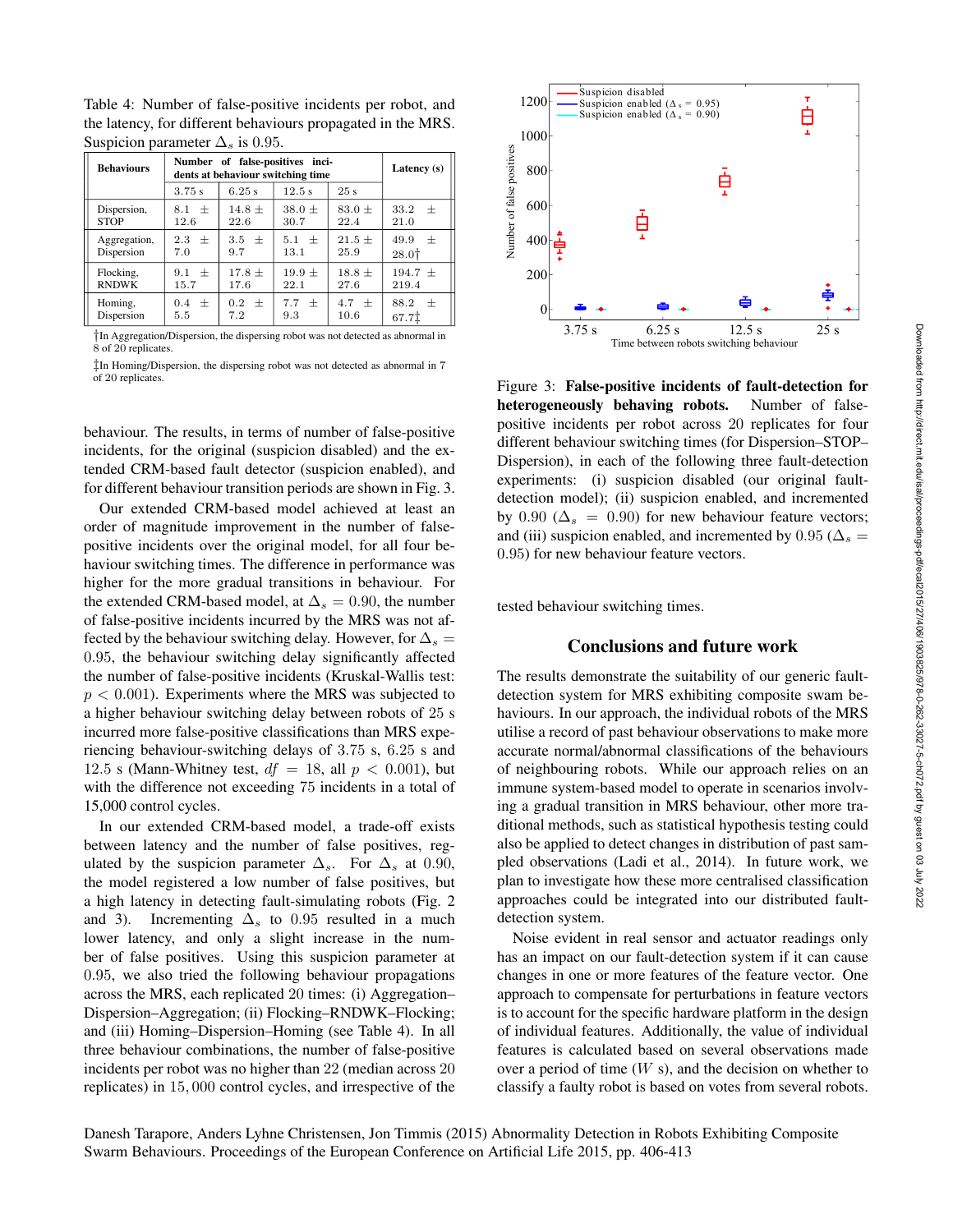Table 4: Number of false-positive incidents per robot, and the latency, for different behaviours propagated in the MRS. Suspicion parameter  $\Delta_s$  is 0.95.

| <b>Behaviours</b>          | Number of false-positives inci-<br>dents at behaviour switching time |                    |                    |                    |                                  |  |
|----------------------------|----------------------------------------------------------------------|--------------------|--------------------|--------------------|----------------------------------|--|
|                            | 3.75s                                                                | 6.25s              | 12.5 s             | 25s                |                                  |  |
| Dispersion,<br><b>STOP</b> | $8.1 \pm$<br>12.6                                                    | $14.8 \pm$<br>22.6 | $38.0 \pm$<br>30.7 | $83.0 \pm$<br>22.4 | 33.2<br>士<br>21.0                |  |
| Aggregation,<br>Dispersion | $2.3 \pm$<br>7.0                                                     | $3.5 +$<br>9.7     | $5.1 +$<br>13.1    | $21.5 +$<br>25.9   | 49.9<br>$+$<br>28.0 <sup>†</sup> |  |
| Flocking,<br><b>RNDWK</b>  | 9.1 $\pm$<br>15.7                                                    | $17.8 +$<br>17.6   | $19.9 \pm$<br>22.1 | $18.8 \pm$<br>27.6 | $194.7 \pm$<br>219.4             |  |
| Homing,<br>Dispersion      | $0.4 \pm$<br>5.5                                                     | $0.2 +$<br>7.2     | $7.7 +$<br>9.3     | $4.7 +$<br>10.6    | 88.2<br>$+$<br>67.71             |  |

†In Aggregation/Dispersion, the dispersing robot was not detected as abnormal in 8 of 20 replicates.

‡In Homing/Dispersion, the dispersing robot was not detected as abnormal in <sup>7</sup> of 20 replicates.

behaviour. The results, in terms of number of false-positive incidents, for the original (suspicion disabled) and the extended CRM-based fault detector (suspicion enabled), and for different behaviour transition periods are shown in Fig. 3.

Our extended CRM-based model achieved at least an order of magnitude improvement in the number of falsepositive incidents over the original model, for all four behaviour switching times. The difference in performance was higher for the more gradual transitions in behaviour. For the extended CRM-based model, at  $\Delta_s = 0.90$ , the number of false-positive incidents incurred by the MRS was not affected by the behaviour switching delay. However, for  $\Delta_s =$ 0.95, the behaviour switching delay significantly affected the number of false-positive incidents (Kruskal-Wallis test:  $p < 0.001$ ). Experiments where the MRS was subjected to a higher behaviour switching delay between robots of 25 s incurred more false-positive classifications than MRS experiencing behaviour-switching delays of 3.75 s, 6.25 s and 12.5 s (Mann-Whitney test,  $df = 18$ , all  $p < 0.001$ ), but with the difference not exceeding 75 incidents in a total of 15,000 control cycles.

In our extended CRM-based model, a trade-off exists between latency and the number of false positives, regulated by the suspicion parameter  $\Delta_s$ . For  $\Delta_s$  at 0.90, the model registered a low number of false positives, but a high latency in detecting fault-simulating robots (Fig. 2 and 3). Incrementing  $\Delta_s$  to 0.95 resulted in a much lower latency, and only a slight increase in the number of false positives. Using this suspicion parameter at 0.95, we also tried the following behaviour propagations across the MRS, each replicated 20 times: (i) Aggregation– Dispersion–Aggregation; (ii) Flocking–RNDWK–Flocking; and (iii) Homing–Dispersion–Homing (see Table 4). In all three behaviour combinations, the number of false-positive incidents per robot was no higher than 22 (median across 20 replicates) in 15, 000 control cycles, and irrespective of the



Figure 3: False-positive incidents of fault-detection for heterogeneously behaving robots. Number of falsepositive incidents per robot across 20 replicates for four different behaviour switching times (for Dispersion–STOP– Dispersion), in each of the following three fault-detection experiments: (i) suspicion disabled (our original faultdetection model); (ii) suspicion enabled, and incremented by 0.90 ( $\Delta_s$  = 0.90) for new behaviour feature vectors; and (iii) suspicion enabled, and incremented by 0.95 ( $\Delta$ <sub>s</sub> = 0.95) for new behaviour feature vectors.

tested behaviour switching times.

## Conclusions and future work

The results demonstrate the suitability of our generic faultdetection system for MRS exhibiting composite swam behaviours. In our approach, the individual robots of the MRS utilise a record of past behaviour observations to make more accurate normal/abnormal classifications of the behaviours of neighbouring robots. While our approach relies on an immune system-based model to operate in scenarios involving a gradual transition in MRS behaviour, other more traditional methods, such as statistical hypothesis testing could also be applied to detect changes in distribution of past sampled observations (Ladi et al., 2014). In future work, we plan to investigate how these more centralised classification approaches could be integrated into our distributed faultdetection system.

Noise evident in real sensor and actuator readings only has an impact on our fault-detection system if it can cause changes in one or more features of the feature vector. One approach to compensate for perturbations in feature vectors is to account for the specific hardware platform in the design of individual features. Additionally, the value of individual features is calculated based on several observations made over a period of time  $(W s)$ , and the decision on whether to classify a faulty robot is based on votes from several robots.